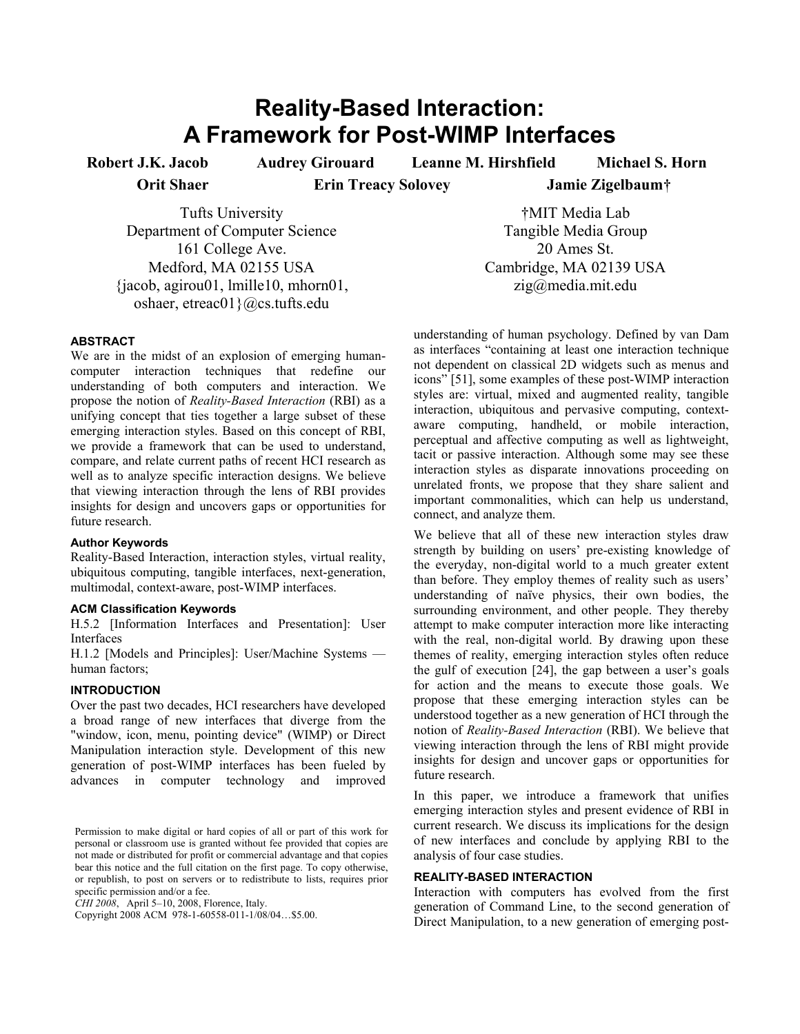# **Reality-Based Interaction: A Framework for Post-WIMP Interfaces**

**Robert J.K. Jacob Audrey Girouard Leanne M. Hirshfield Michael S. Horn** 

**Orit Shaer Comparent Example 2.1 Example 2.1 Example 2.1 Example 2.1 Example 2.1 Example 2.1 Example 2.1 Example 2.1 Example 2.1 Example 2.1 Example 2.1 Example 2.1 Example 2.1 Example 2.1 Example 2.1 Example 2.1 Examp** 

Tufts University Department of Computer Science 161 College Ave. Medford, MA 02155 USA {jacob, agirou01, lmille10, mhorn01, oshaer, etreac01}@cs.tufts.edu

HMIT Media Lab Tangible Media Group 20 Ames St. Cambridge, MA 02139 USA zig@media.mit.edu

#### **ABSTRACT**

We are in the midst of an explosion of emerging humancomputer interaction techniques that redefine our understanding of both computers and interaction. We propose the notion of *Reality-Based Interaction* (RBI) as a unifying concept that ties together a large subset of these emerging interaction styles. Based on this concept of RBI, we provide a framework that can be used to understand, compare, and relate current paths of recent HCI research as well as to analyze specific interaction designs. We believe that viewing interaction through the lens of RBI provides insights for design and uncovers gaps or opportunities for future research.

### **Author Keywords**

Reality-Based Interaction, interaction styles, virtual reality, ubiquitous computing, tangible interfaces, next-generation, multimodal, context-aware, post-WIMP interfaces.

#### **ACM Classification Keywords**

H.5.2 [Information Interfaces and Presentation]: User Interfaces

H.1.2 [Models and Principles]: User/Machine Systems human factors;

# **INTRODUCTION**

Over the past two decades, HCI researchers have developed a broad range of new interfaces that diverge from the "window, icon, menu, pointing device" (WIMP) or Direct Manipulation interaction style. Development of this new generation of post-WIMP interfaces has been fueled by advances in computer technology and improved

 $CHI 2008$ , April 5-10, 2008, Florence, Italy.

understanding of human psychology. Defined by van Dam as interfaces "containing at least one interaction technique not dependent on classical 2D widgets such as menus and icons" [51], some examples of these post-WIMP interaction styles are: virtual, mixed and augmented reality, tangible interaction, ubiquitous and pervasive computing, contextaware computing, handheld, or mobile interaction, perceptual and affective computing as well as lightweight, tacit or passive interaction. Although some may see these interaction styles as disparate innovations proceeding on unrelated fronts, we propose that they share salient and important commonalities, which can help us understand, connect, and analyze them.

We believe that all of these new interaction styles draw strength by building on users' pre-existing knowledge of the everyday, non-digital world to a much greater extent than before. They employ themes of reality such as users' understanding of naïve physics, their own bodies, the surrounding environment, and other people. They thereby attempt to make computer interaction more like interacting with the real, non-digital world. By drawing upon these themes of reality, emerging interaction styles often reduce the gulf of execution  $[24]$ , the gap between a user's goals for action and the means to execute those goals. We propose that these emerging interaction styles can be understood together as a new generation of HCI through the notion of *Reality-Based Interaction* (RBI). We believe that viewing interaction through the lens of RBI might provide insights for design and uncover gaps or opportunities for future research.

In this paper, we introduce a framework that unifies emerging interaction styles and present evidence of RBI in current research. We discuss its implications for the design of new interfaces and conclude by applying RBI to the analysis of four case studies.

## **REALITY-BASED INTERACTION**

Interaction with computers has evolved from the first generation of Command Line, to the second generation of Direct Manipulation, to a new generation of emerging post-

Permission to make digital or hard copies of all or part of this work for personal or classroom use is granted without fee provided that copies are not made or distributed for profit or commercial advantage and that copies bear this notice and the full citation on the first page. To copy otherwise, or republish, to post on servers or to redistribute to lists, requires prior specific permission and/or a fee.

Copyright  $2008$  ACM  $978-1-60558-011-1/08/04...$ \$5.00.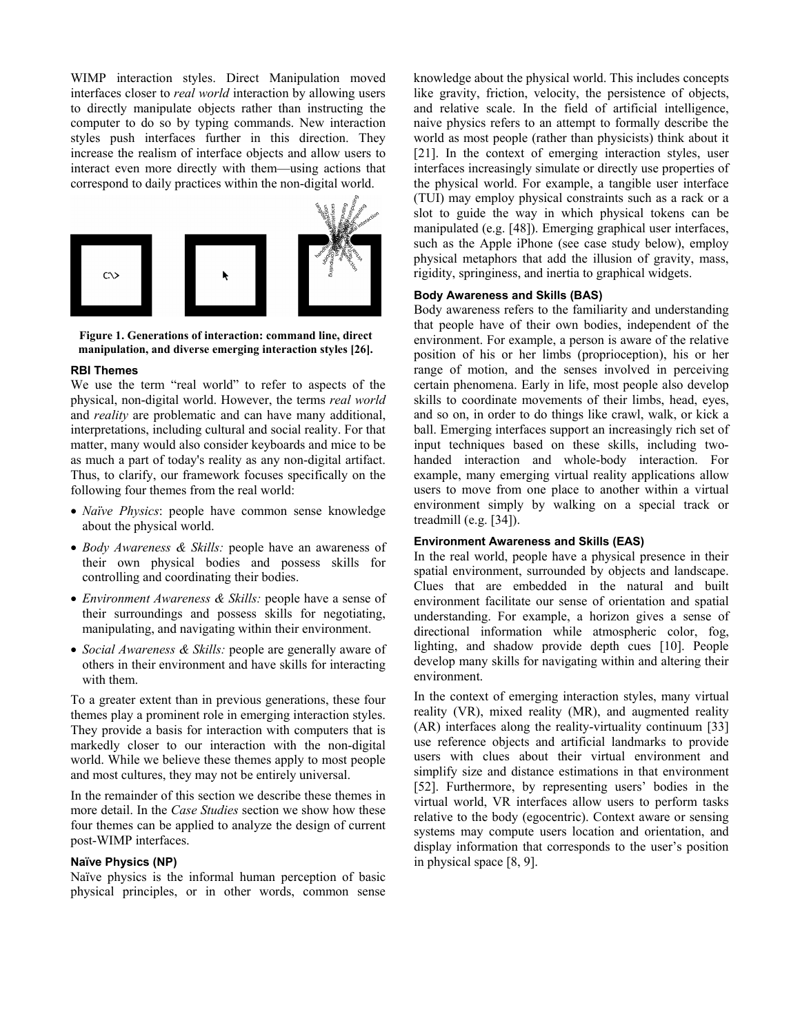WIMP interaction styles. Direct Manipulation moved interfaces closer to *real world* interaction by allowing users to directly manipulate objects rather than instructing the computer to do so by typing commands. New interaction styles push interfaces further in this direction. They increase the realism of interface objects and allow users to interact even more directly with them\_using actions that correspond to daily practices within the non-digital world.



**Figure 1. Generations of interaction: command line, direct manipulation, and diverse emerging interaction styles [26].** 

#### **RBI Themes**

We use the term "real world" to refer to aspects of the physical, non-digital world. However, the terms *real world* and *reality* are problematic and can have many additional, interpretations, including cultural and social reality. For that matter, many would also consider keyboards and mice to be as much a part of today's reality as any non-digital artifact. Thus, to clarify, our framework focuses specifically on the following four themes from the real world:

- *Naïve Physics*: people have common sense knowledge about the physical world.
- x *Body Awareness & Skills:* people have an awareness of their own physical bodies and possess skills for controlling and coordinating their bodies.
- x *Environment Awareness & Skills:* people have a sense of their surroundings and possess skills for negotiating, manipulating, and navigating within their environment.
- *Social Awareness & Skills:* people are generally aware of others in their environment and have skills for interacting with them.

To a greater extent than in previous generations, these four themes play a prominent role in emerging interaction styles. They provide a basis for interaction with computers that is markedly closer to our interaction with the non-digital world. While we believe these themes apply to most people and most cultures, they may not be entirely universal.

In the remainder of this section we describe these themes in more detail. In the *Case Studies* section we show how these four themes can be applied to analyze the design of current post-WIMP interfaces.

## **Naïve Physics (NP)**

Naïve physics is the informal human perception of basic physical principles, or in other words, common sense knowledge about the physical world. This includes concepts like gravity, friction, velocity, the persistence of objects, and relative scale. In the field of artificial intelligence, naive physics refers to an attempt to formally describe the world as most people (rather than physicists) think about it [21]. In the context of emerging interaction styles, user interfaces increasingly simulate or directly use properties of the physical world. For example, a tangible user interface (TUI) may employ physical constraints such as a rack or a slot to guide the way in which physical tokens can be manipulated (e.g. [48]). Emerging graphical user interfaces, such as the Apple iPhone (see case study below), employ physical metaphors that add the illusion of gravity, mass, rigidity, springiness, and inertia to graphical widgets.

# **Body Awareness and Skills (BAS)**

Body awareness refers to the familiarity and understanding that people have of their own bodies, independent of the environment. For example, a person is aware of the relative position of his or her limbs (proprioception), his or her range of motion, and the senses involved in perceiving certain phenomena. Early in life, most people also develop skills to coordinate movements of their limbs, head, eyes, and so on, in order to do things like crawl, walk, or kick a ball. Emerging interfaces support an increasingly rich set of input techniques based on these skills, including twohanded interaction and whole-body interaction. For example, many emerging virtual reality applications allow users to move from one place to another within a virtual environment simply by walking on a special track or treadmill (e.g. [34]).

## **Environment Awareness and Skills (EAS)**

In the real world, people have a physical presence in their spatial environment, surrounded by objects and landscape. Clues that are embedded in the natural and built environment facilitate our sense of orientation and spatial understanding. For example, a horizon gives a sense of directional information while atmospheric color, fog, lighting, and shadow provide depth cues [10]. People develop many skills for navigating within and altering their environment.

In the context of emerging interaction styles, many virtual reality (VR), mixed reality (MR), and augmented reality (AR) interfaces along the reality-virtuality continuum [33] use reference objects and artificial landmarks to provide users with clues about their virtual environment and simplify size and distance estimations in that environment [52]. Furthermore, by representing users' bodies in the virtual world, VR interfaces allow users to perform tasks relative to the body (egocentric). Context aware or sensing systems may compute users location and orientation, and display information that corresponds to the user's position in physical space [8, 9].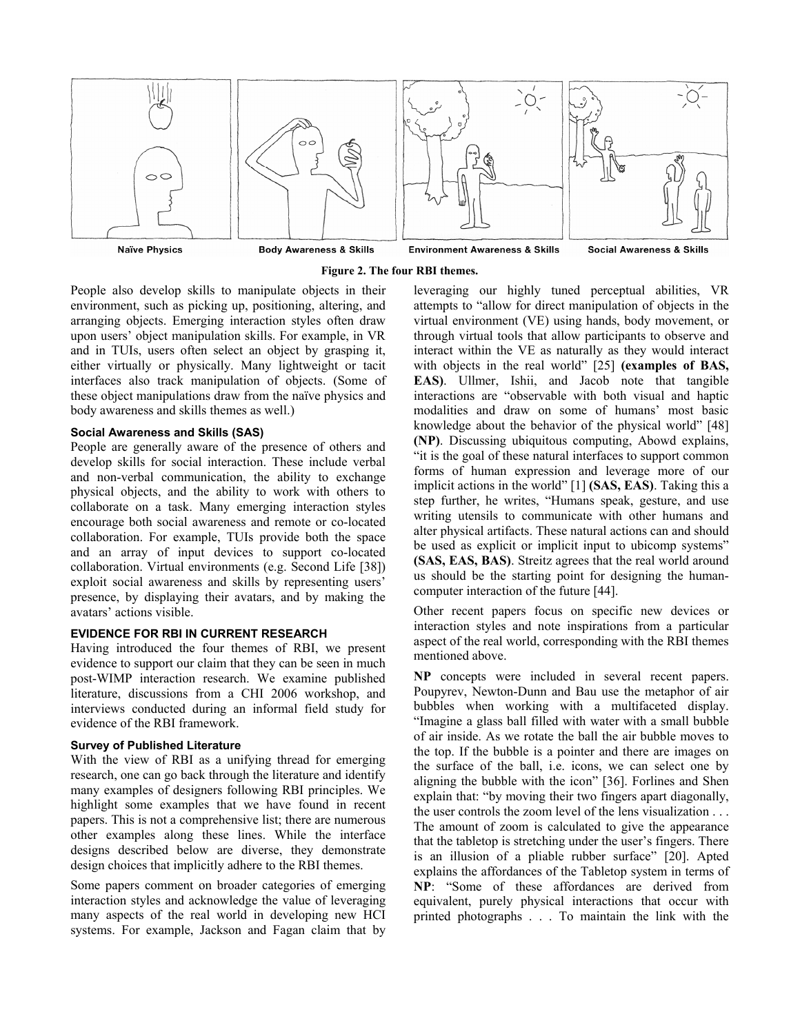

**Figure 2. The four RBI themes.** 

People also develop skills to manipulate objects in their environment, such as picking up, positioning, altering, and arranging objects. Emerging interaction styles often draw upon users' object manipulation skills. For example, in VR and in TUIs, users often select an object by grasping it, either virtually or physically. Many lightweight or tacit interfaces also track manipulation of objects. (Some of these object manipulations draw from the naïve physics and body awareness and skills themes as well.)

## **Social Awareness and Skills (SAS)**

People are generally aware of the presence of others and develop skills for social interaction. These include verbal and non-verbal communication, the ability to exchange physical objects, and the ability to work with others to collaborate on a task. Many emerging interaction styles encourage both social awareness and remote or co-located collaboration. For example, TUIs provide both the space and an array of input devices to support co-located collaboration. Virtual environments (e.g. Second Life [38]) exploit social awareness and skills by representing users' presence, by displaying their avatars, and by making the avatars' actions visible.

# **EVIDENCE FOR RBI IN CURRENT RESEARCH**

Having introduced the four themes of RBI, we present evidence to support our claim that they can be seen in much post-WIMP interaction research. We examine published literature, discussions from a CHI 2006 workshop, and interviews conducted during an informal field study for evidence of the RBI framework.

#### **Survey of Published Literature**

With the view of RBI as a unifying thread for emerging research, one can go back through the literature and identify many examples of designers following RBI principles. We highlight some examples that we have found in recent papers. This is not a comprehensive list; there are numerous other examples along these lines. While the interface designs described below are diverse, they demonstrate design choices that implicitly adhere to the RBI themes.

Some papers comment on broader categories of emerging interaction styles and acknowledge the value of leveraging many aspects of the real world in developing new HCI systems. For example, Jackson and Fagan claim that by leveraging our highly tuned perceptual abilities, VR attempts to "allow for direct manipulation of objects in the virtual environment (VE) using hands, body movement, or through virtual tools that allow participants to observe and interact within the VE as naturally as they would interact with objects in the real world" [25] (examples of BAS, **EAS)**. Ullmer, Ishii, and Jacob note that tangible interactions are "observable with both visual and haptic modalities and draw on some of humans' most basic knowledge about the behavior of the physical world" [48] **(NP)**. Discussing ubiquitous computing, Abowd explains, "it is the goal of these natural interfaces to support common forms of human expression and leverage more of our implicit actions in the world" [1] **(SAS, EAS)**. Taking this a step further, he writes, "Humans speak, gesture, and use writing utensils to communicate with other humans and alter physical artifacts. These natural actions can and should be used as explicit or implicit input to ubicomp systems" **(SAS, EAS, BAS)**. Streitz agrees that the real world around us should be the starting point for designing the humancomputer interaction of the future [44].

Other recent papers focus on specific new devices or interaction styles and note inspirations from a particular aspect of the real world, corresponding with the RBI themes mentioned above.

**NP** concepts were included in several recent papers. Poupyrev, Newton-Dunn and Bau use the metaphor of air bubbles when working with a multifaceted display. "Imagine a glass ball filled with water with a small bubble of air inside. As we rotate the ball the air bubble moves to the top. If the bubble is a pointer and there are images on the surface of the ball, i.e. icons, we can select one by aligning the bubble with the icon"  $[36]$ . Forlines and Shen explain that: "by moving their two fingers apart diagonally, the user controls the zoom level of the lens visualization . . . The amount of zoom is calculated to give the appearance that the tabletop is stretching under the user's fingers. There is an illusion of a pliable rubber surface" [20]. Apted explains the affordances of the Tabletop system in terms of **NP**: "Some of these affordances are derived from equivalent, purely physical interactions that occur with printed photographs . . . To maintain the link with the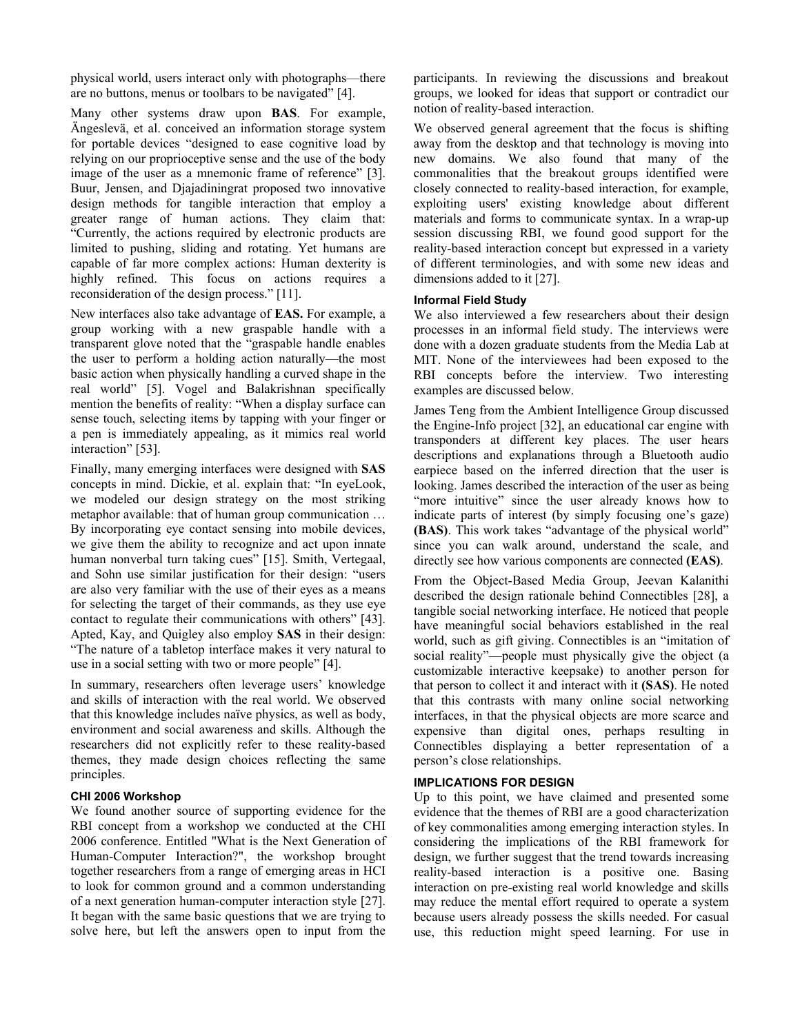physical world, users interact only with photographs\_there are no buttons, menus or toolbars to be navigated" [4].

Many other systems draw upon **BAS**. For example, Ängeslevä, et al. conceived an information storage system for portable devices "designed to ease cognitive load by relying on our proprioceptive sense and the use of the body image of the user as a mnemonic frame of reference" [3]. Buur, Jensen, and Djajadiningrat proposed two innovative design methods for tangible interaction that employ a greater range of human actions. They claim that: "Currently, the actions required by electronic products are limited to pushing, sliding and rotating. Yet humans are capable of far more complex actions: Human dexterity is highly refined. This focus on actions requires a reconsideration of the design process." [11].

New interfaces also take advantage of **EAS.** For example, a group working with a new graspable handle with a transparent glove noted that the "graspable handle enables the user to perform a holding action naturally\_the most basic action when physically handling a curved shape in the real world" [5]. Vogel and Balakrishnan specifically mention the benefits of reality: "When a display surface can sense touch, selecting items by tapping with your finger or a pen is immediately appealing, as it mimics real world interaction" [53].

Finally, many emerging interfaces were designed with **SAS**  concepts in mind. Dickie, et al. explain that: "In eyeLook, we modeled our design strategy on the most striking metaphor available: that of human group communication ... By incorporating eye contact sensing into mobile devices, we give them the ability to recognize and act upon innate human nonverbal turn taking cues" [15]. Smith, Vertegaal, and Sohn use similar justification for their design: "users are also very familiar with the use of their eyes as a means for selecting the target of their commands, as they use eye contact to regulate their communications with others"  $[43]$ . Apted, Kay, and Quigley also employ **SAS** in their design: "The nature of a tabletop interface makes it very natural to use in a social setting with two or more people"  $[4]$ .

In summary, researchers often leverage users' knowledge and skills of interaction with the real world. We observed that this knowledge includes naïve physics, as well as body, environment and social awareness and skills. Although the researchers did not explicitly refer to these reality-based themes, they made design choices reflecting the same principles.

## **CHI 2006 Workshop**

We found another source of supporting evidence for the RBI concept from a workshop we conducted at the CHI 2006 conference. Entitled "What is the Next Generation of Human-Computer Interaction?", the workshop brought together researchers from a range of emerging areas in HCI to look for common ground and a common understanding of a next generation human-computer interaction style [27]. It began with the same basic questions that we are trying to solve here, but left the answers open to input from the

participants. In reviewing the discussions and breakout groups, we looked for ideas that support or contradict our notion of reality-based interaction.

We observed general agreement that the focus is shifting away from the desktop and that technology is moving into new domains. We also found that many of the commonalities that the breakout groups identified were closely connected to reality-based interaction, for example, exploiting users' existing knowledge about different materials and forms to communicate syntax. In a wrap-up session discussing RBI, we found good support for the reality-based interaction concept but expressed in a variety of different terminologies, and with some new ideas and dimensions added to it [27].

# **Informal Field Study**

We also interviewed a few researchers about their design processes in an informal field study. The interviews were done with a dozen graduate students from the Media Lab at MIT. None of the interviewees had been exposed to the RBI concepts before the interview. Two interesting examples are discussed below.

James Teng from the Ambient Intelligence Group discussed the Engine-Info project [32], an educational car engine with transponders at different key places. The user hears descriptions and explanations through a Bluetooth audio earpiece based on the inferred direction that the user is looking. James described the interaction of the user as being "more intuitive" since the user already knows how to indicate parts of interest (by simply focusing one's gaze) **(BAS)**. This work takes "advantage of the physical world" since you can walk around, understand the scale, and directly see how various components are connected **(EAS)**.

From the Object-Based Media Group, Jeevan Kalanithi described the design rationale behind Connectibles [28], a tangible social networking interface. He noticed that people have meaningful social behaviors established in the real world, such as gift giving. Connectibles is an "imitation of social reality"-people must physically give the object (a customizable interactive keepsake) to another person for that person to collect it and interact with it **(SAS)**. He noted that this contrasts with many online social networking interfaces, in that the physical objects are more scarce and expensive than digital ones, perhaps resulting in Connectibles displaying a better representation of a person's close relationships.

## **IMPLICATIONS FOR DESIGN**

Up to this point, we have claimed and presented some evidence that the themes of RBI are a good characterization of key commonalities among emerging interaction styles. In considering the implications of the RBI framework for design, we further suggest that the trend towards increasing reality-based interaction is a positive one. Basing interaction on pre-existing real world knowledge and skills may reduce the mental effort required to operate a system because users already possess the skills needed. For casual use, this reduction might speed learning. For use in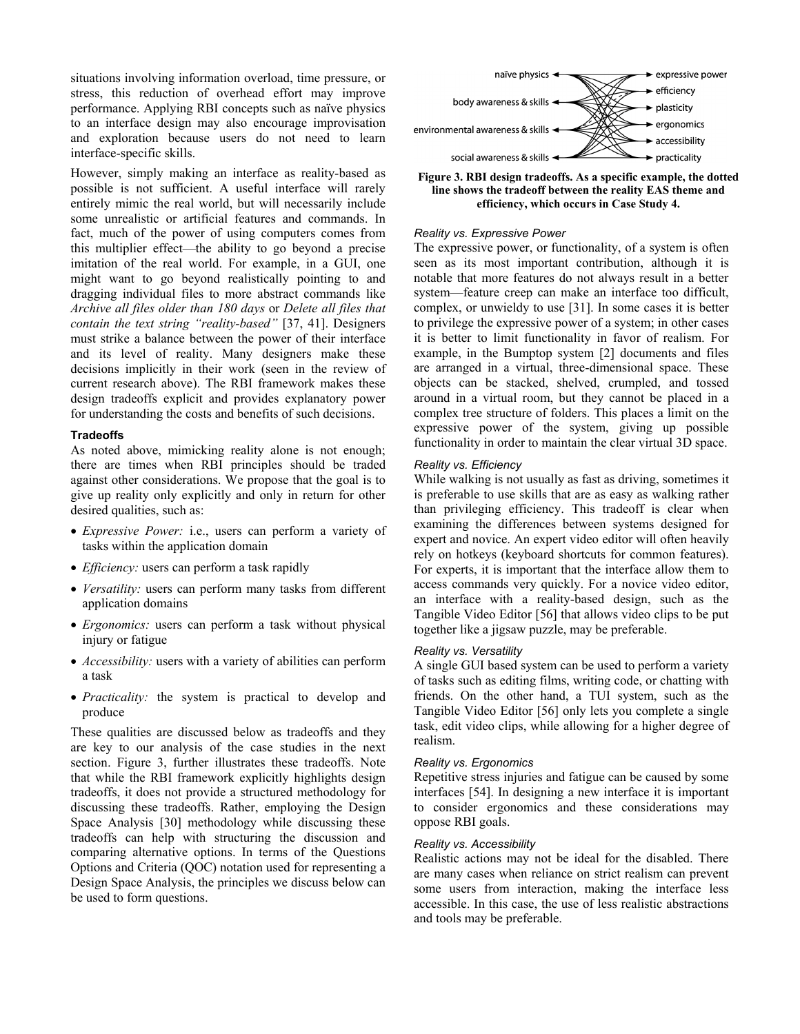situations involving information overload, time pressure, or stress, this reduction of overhead effort may improve performance. Applying RBI concepts such as naïve physics to an interface design may also encourage improvisation and exploration because users do not need to learn interface-specific skills.

However, simply making an interface as reality-based as possible is not sufficient. A useful interface will rarely entirely mimic the real world, but will necessarily include some unrealistic or artificial features and commands. In fact, much of the power of using computers comes from this multiplier effect\_the ability to go beyond a precise imitation of the real world. For example, in a GUI, one might want to go beyond realistically pointing to and dragging individual files to more abstract commands like *Archive all files older than 180 days* or *Delete all files that contain the text string "reality-based"* [37, 41]. Designers must strike a balance between the power of their interface and its level of reality. Many designers make these decisions implicitly in their work (seen in the review of current research above). The RBI framework makes these design tradeoffs explicit and provides explanatory power for understanding the costs and benefits of such decisions.

#### **Tradeoffs**

As noted above, mimicking reality alone is not enough; there are times when RBI principles should be traded against other considerations. We propose that the goal is to give up reality only explicitly and only in return for other desired qualities, such as:

- x *Expressive Power:* i.e., users can perform a variety of tasks within the application domain
- *Efficiency:* users can perform a task rapidly
- *Versatility:* users can perform many tasks from different application domains
- *Ergonomics:* users can perform a task without physical injury or fatigue
- *Accessibility:* users with a variety of abilities can perform a task
- *Practicality:* the system is practical to develop and produce

These qualities are discussed below as tradeoffs and they are key to our analysis of the case studies in the next section. Figure 3, further illustrates these tradeoffs. Note that while the RBI framework explicitly highlights design tradeoffs, it does not provide a structured methodology for discussing these tradeoffs. Rather, employing the Design Space Analysis [30] methodology while discussing these tradeoffs can help with structuring the discussion and comparing alternative options. In terms of the Questions Options and Criteria (QOC) notation used for representing a Design Space Analysis, the principles we discuss below can be used to form questions.



**Figure 3. RBI design tradeoffs. As a specific example, the dotted line shows the tradeoff between the reality EAS theme and efficiency, which occurs in Case Study 4.** 

#### *Reality vs. Expressive Power*

The expressive power, or functionality, of a system is often seen as its most important contribution, although it is notable that more features do not always result in a better system—feature creep can make an interface too difficult, complex, or unwieldy to use [31]. In some cases it is better to privilege the expressive power of a system; in other cases it is better to limit functionality in favor of realism. For example, in the Bumptop system [2] documents and files are arranged in a virtual, three-dimensional space. These objects can be stacked, shelved, crumpled, and tossed around in a virtual room, but they cannot be placed in a complex tree structure of folders. This places a limit on the expressive power of the system, giving up possible functionality in order to maintain the clear virtual 3D space.

#### *Reality vs. Efficiency*

While walking is not usually as fast as driving, sometimes it is preferable to use skills that are as easy as walking rather than privileging efficiency. This tradeoff is clear when examining the differences between systems designed for expert and novice. An expert video editor will often heavily rely on hotkeys (keyboard shortcuts for common features). For experts, it is important that the interface allow them to access commands very quickly. For a novice video editor, an interface with a reality-based design, such as the Tangible Video Editor [56] that allows video clips to be put together like a jigsaw puzzle, may be preferable.

#### *Reality vs. Versatility*

A single GUI based system can be used to perform a variety of tasks such as editing films, writing code, or chatting with friends. On the other hand, a TUI system, such as the Tangible Video Editor [56] only lets you complete a single task, edit video clips, while allowing for a higher degree of realism.

## *Reality vs. Ergonomics*

Repetitive stress injuries and fatigue can be caused by some interfaces [54]. In designing a new interface it is important to consider ergonomics and these considerations may oppose RBI goals.

#### *Reality vs. Accessibility*

Realistic actions may not be ideal for the disabled. There are many cases when reliance on strict realism can prevent some users from interaction, making the interface less accessible. In this case, the use of less realistic abstractions and tools may be preferable.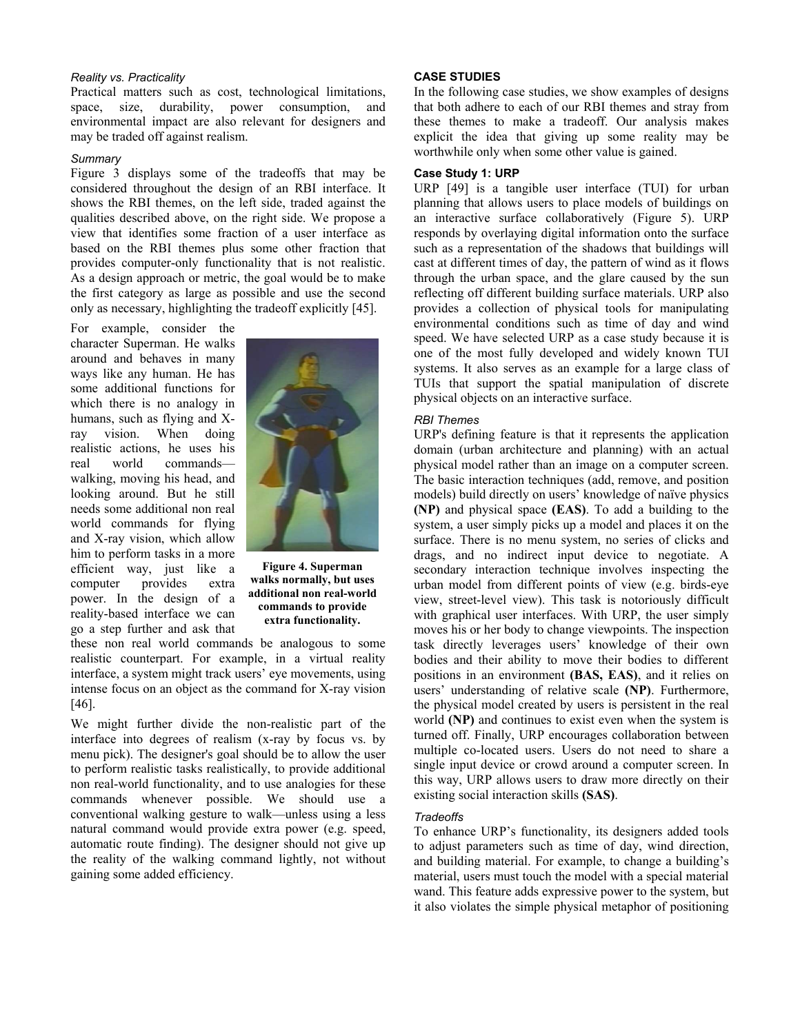#### *Reality vs. Practicality*

Practical matters such as cost, technological limitations, space, size, durability, power consumption, and environmental impact are also relevant for designers and may be traded off against realism.

#### *Summary*

Figure 3 displays some of the tradeoffs that may be considered throughout the design of an RBI interface. It shows the RBI themes, on the left side, traded against the qualities described above, on the right side. We propose a view that identifies some fraction of a user interface as based on the RBI themes plus some other fraction that provides computer-only functionality that is not realistic. As a design approach or metric, the goal would be to make the first category as large as possible and use the second only as necessary, highlighting the tradeoff explicitly [45].

For example, consider the character Superman. He walks around and behaves in many ways like any human. He has some additional functions for which there is no analogy in humans, such as flying and Xray vision. When doing realistic actions, he uses his real world commands walking, moving his head, and looking around. But he still needs some additional non real world commands for flying and X-ray vision, which allow him to perform tasks in a more efficient way, just like a computer provides extra power. In the design of a reality-based interface we can go a step further and ask that



**Figure 4. Superman walks normally, but uses additional non real-world commands to provide extra functionality.** 

these non real world commands be analogous to some realistic counterpart. For example, in a virtual reality interface, a system might track users' eye movements, using intense focus on an object as the command for X-ray vision [46].

We might further divide the non-realistic part of the interface into degrees of realism (x-ray by focus vs. by menu pick). The designer's goal should be to allow the user to perform realistic tasks realistically, to provide additional non real-world functionality, and to use analogies for these commands whenever possible. We should use a conventional walking gesture to walk—unless using a less natural command would provide extra power (e.g. speed, automatic route finding). The designer should not give up the reality of the walking command lightly, not without gaining some added efficiency.

## **CASE STUDIES**

In the following case studies, we show examples of designs that both adhere to each of our RBI themes and stray from these themes to make a tradeoff. Our analysis makes explicit the idea that giving up some reality may be worthwhile only when some other value is gained.

# **Case Study 1: URP**

URP [49] is a tangible user interface (TUI) for urban planning that allows users to place models of buildings on an interactive surface collaboratively (Figure 5). URP responds by overlaying digital information onto the surface such as a representation of the shadows that buildings will cast at different times of day, the pattern of wind as it flows through the urban space, and the glare caused by the sun reflecting off different building surface materials. URP also provides a collection of physical tools for manipulating environmental conditions such as time of day and wind speed. We have selected URP as a case study because it is one of the most fully developed and widely known TUI systems. It also serves as an example for a large class of TUIs that support the spatial manipulation of discrete physical objects on an interactive surface.

#### *RBI Themes*

URP's defining feature is that it represents the application domain (urban architecture and planning) with an actual physical model rather than an image on a computer screen. The basic interaction techniques (add, remove, and position models) build directly on users' knowledge of naïve physics **(NP)** and physical space **(EAS)**. To add a building to the system, a user simply picks up a model and places it on the surface. There is no menu system, no series of clicks and drags, and no indirect input device to negotiate. A secondary interaction technique involves inspecting the urban model from different points of view (e.g. birds-eye view, street-level view). This task is notoriously difficult with graphical user interfaces. With URP, the user simply moves his or her body to change viewpoints. The inspection task directly leverages users' knowledge of their own bodies and their ability to move their bodies to different positions in an environment **(BAS, EAS)**, and it relies on users' understanding of relative scale (NP). Furthermore, the physical model created by users is persistent in the real world **(NP)** and continues to exist even when the system is turned off. Finally, URP encourages collaboration between multiple co-located users. Users do not need to share a single input device or crowd around a computer screen. In this way, URP allows users to draw more directly on their existing social interaction skills **(SAS)**.

#### *Tradeoffs*

To enhance URP's functionality, its designers added tools to adjust parameters such as time of day, wind direction, and building material. For example, to change a building's material, users must touch the model with a special material wand. This feature adds expressive power to the system, but it also violates the simple physical metaphor of positioning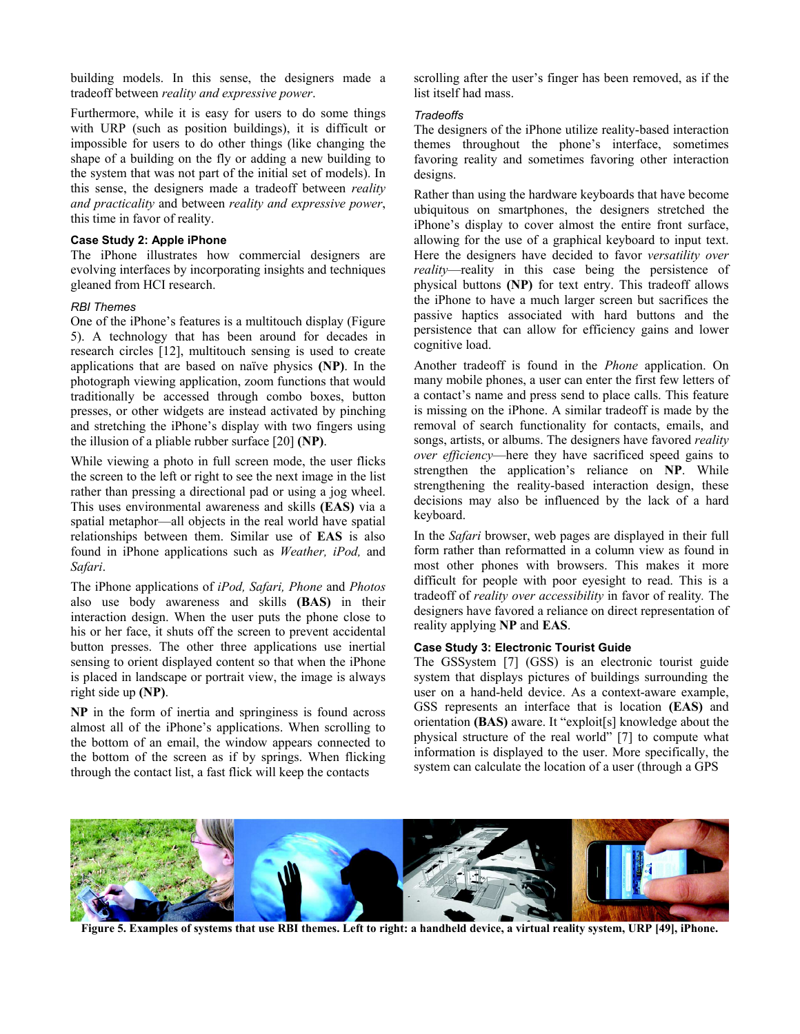building models. In this sense, the designers made a tradeoff between *reality and expressive power*.

Furthermore, while it is easy for users to do some things with URP (such as position buildings), it is difficult or impossible for users to do other things (like changing the shape of a building on the fly or adding a new building to the system that was not part of the initial set of models). In this sense, the designers made a tradeoff between *reality and practicality* and between *reality and expressive power*, this time in favor of reality.

#### **Case Study 2: Apple iPhone**

The iPhone illustrates how commercial designers are evolving interfaces by incorporating insights and techniques gleaned from HCI research.

#### *RBI Themes*

One of the iPhone's features is a multitouch display (Figure) 5). A technology that has been around for decades in research circles [12], multitouch sensing is used to create applications that are based on naïve physics **(NP)**. In the photograph viewing application, zoom functions that would traditionally be accessed through combo boxes, button presses, or other widgets are instead activated by pinching and stretching the iPhone's display with two fingers using the illusion of a pliable rubber surface [20] **(NP)**.

While viewing a photo in full screen mode, the user flicks the screen to the left or right to see the next image in the list rather than pressing a directional pad or using a jog wheel. This uses environmental awareness and skills **(EAS)** via a spatial metaphor—all objects in the real world have spatial relationships between them. Similar use of **EAS** is also found in iPhone applications such as *Weather, iPod,* and *Safari*.

The iPhone applications of *iPod, Safari, Phone* and *Photos*  also use body awareness and skills **(BAS)** in their interaction design. When the user puts the phone close to his or her face, it shuts off the screen to prevent accidental button presses. The other three applications use inertial sensing to orient displayed content so that when the iPhone is placed in landscape or portrait view, the image is always right side up **(NP)**.

**NP** in the form of inertia and springiness is found across almost all of the iPhone's applications. When scrolling to the bottom of an email, the window appears connected to the bottom of the screen as if by springs. When flicking through the contact list, a fast flick will keep the contacts

scrolling after the user's finger has been removed, as if the list itself had mass.

## *Tradeoffs*

The designers of the iPhone utilize reality-based interaction themes throughout the phone's interface, sometimes favoring reality and sometimes favoring other interaction designs.

Rather than using the hardware keyboards that have become ubiquitous on smartphones, the designers stretched the iPhone's display to cover almost the entire front surface, allowing for the use of a graphical keyboard to input text. Here the designers have decided to favor *versatility over*  reality-reality in this case being the persistence of physical buttons **(NP)** for text entry. This tradeoff allows the iPhone to have a much larger screen but sacrifices the passive haptics associated with hard buttons and the persistence that can allow for efficiency gains and lower cognitive load.

Another tradeoff is found in the *Phone* application. On many mobile phones, a user can enter the first few letters of a contact's name and press send to place calls. This feature is missing on the iPhone. A similar tradeoff is made by the removal of search functionality for contacts, emails, and songs, artists, or albums. The designers have favored *reality over efficiency*—here they have sacrificed speed gains to strengthen the application's reliance on NP. While strengthening the reality-based interaction design, these decisions may also be influenced by the lack of a hard keyboard.

In the *Safari* browser, web pages are displayed in their full form rather than reformatted in a column view as found in most other phones with browsers. This makes it more difficult for people with poor eyesight to read. This is a tradeoff of *reality over accessibility* in favor of reality*.* The designers have favored a reliance on direct representation of reality applying **NP** and **EAS**.

# **Case Study 3: Electronic Tourist Guide**

The GSSystem [7] (GSS) is an electronic tourist guide system that displays pictures of buildings surrounding the user on a hand-held device. As a context-aware example, GSS represents an interface that is location **(EAS)** and orientation **(BAS)** aware. It "exploit[s] knowledge about the physical structure of the real world" [7] to compute what information is displayed to the user. More specifically, the system can calculate the location of a user (through a GPS



**Figure 5. Examples of systems that use RBI themes. Left to right: a handheld device, a virtual reality system, URP [49], iPhone.**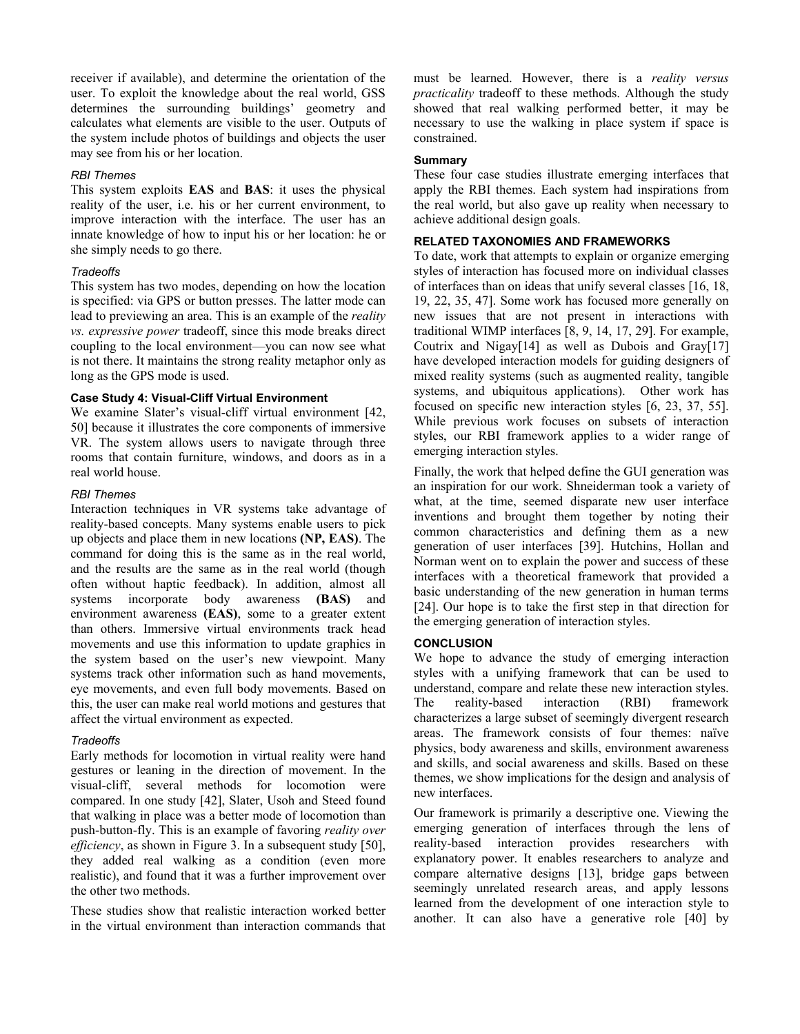receiver if available), and determine the orientation of the user. To exploit the knowledge about the real world, GSS determines the surrounding buildings' geometry and calculates what elements are visible to the user. Outputs of the system include photos of buildings and objects the user may see from his or her location.

## *RBI Themes*

This system exploits **EAS** and **BAS**: it uses the physical reality of the user, i.e. his or her current environment, to improve interaction with the interface. The user has an innate knowledge of how to input his or her location: he or she simply needs to go there.

## *Tradeoffs*

This system has two modes, depending on how the location is specified: via GPS or button presses. The latter mode can lead to previewing an area. This is an example of the *reality vs. expressive power* tradeoff, since this mode breaks direct coupling to the local environment\_you can now see what is not there. It maintains the strong reality metaphor only as long as the GPS mode is used.

# **Case Study 4: Visual-Cliff Virtual Environment**

We examine Slater's visual-cliff virtual environment  $[42, 42]$ 50] because it illustrates the core components of immersive VR. The system allows users to navigate through three rooms that contain furniture, windows, and doors as in a real world house.

## *RBI Themes*

Interaction techniques in VR systems take advantage of reality-based concepts. Many systems enable users to pick up objects and place them in new locations **(NP, EAS)**. The command for doing this is the same as in the real world, and the results are the same as in the real world (though often without haptic feedback). In addition, almost all systems incorporate body awareness **(BAS)** and environment awareness **(EAS)**, some to a greater extent than others. Immersive virtual environments track head movements and use this information to update graphics in the system based on the user's new viewpoint. Many systems track other information such as hand movements, eye movements, and even full body movements. Based on this, the user can make real world motions and gestures that affect the virtual environment as expected.

## *Tradeoffs*

Early methods for locomotion in virtual reality were hand gestures or leaning in the direction of movement. In the visual-cliff, several methods for locomotion were compared. In one study [42], Slater, Usoh and Steed found that walking in place was a better mode of locomotion than push-button-fly. This is an example of favoring *reality over efficiency*, as shown in Figure 3. In a subsequent study [50], they added real walking as a condition (even more realistic), and found that it was a further improvement over the other two methods.

These studies show that realistic interaction worked better in the virtual environment than interaction commands that must be learned. However, there is a *reality versus practicality* tradeoff to these methods. Although the study showed that real walking performed better, it may be necessary to use the walking in place system if space is constrained.

# **Summary**

These four case studies illustrate emerging interfaces that apply the RBI themes. Each system had inspirations from the real world, but also gave up reality when necessary to achieve additional design goals.

# **RELATED TAXONOMIES AND FRAMEWORKS**

To date, work that attempts to explain or organize emerging styles of interaction has focused more on individual classes of interfaces than on ideas that unify several classes [16, 18, 19, 22, 35, 47]. Some work has focused more generally on new issues that are not present in interactions with traditional WIMP interfaces [8, 9, 14, 17, 29]. For example, Coutrix and Nigay[14] as well as Dubois and Gray[17] have developed interaction models for guiding designers of mixed reality systems (such as augmented reality, tangible systems, and ubiquitous applications). Other work has focused on specific new interaction styles [6, 23, 37, 55]. While previous work focuses on subsets of interaction styles, our RBI framework applies to a wider range of emerging interaction styles.

Finally, the work that helped define the GUI generation was an inspiration for our work. Shneiderman took a variety of what, at the time, seemed disparate new user interface inventions and brought them together by noting their common characteristics and defining them as a new generation of user interfaces [39]. Hutchins, Hollan and Norman went on to explain the power and success of these interfaces with a theoretical framework that provided a basic understanding of the new generation in human terms [24]. Our hope is to take the first step in that direction for the emerging generation of interaction styles.

# **CONCLUSION**

We hope to advance the study of emerging interaction styles with a unifying framework that can be used to understand, compare and relate these new interaction styles. The reality-based interaction (RBI) framework characterizes a large subset of seemingly divergent research areas. The framework consists of four themes: naïve physics, body awareness and skills, environment awareness and skills, and social awareness and skills. Based on these themes, we show implications for the design and analysis of new interfaces.

Our framework is primarily a descriptive one. Viewing the emerging generation of interfaces through the lens of reality-based interaction provides researchers with explanatory power. It enables researchers to analyze and compare alternative designs [13], bridge gaps between seemingly unrelated research areas, and apply lessons learned from the development of one interaction style to another. It can also have a generative role [40] by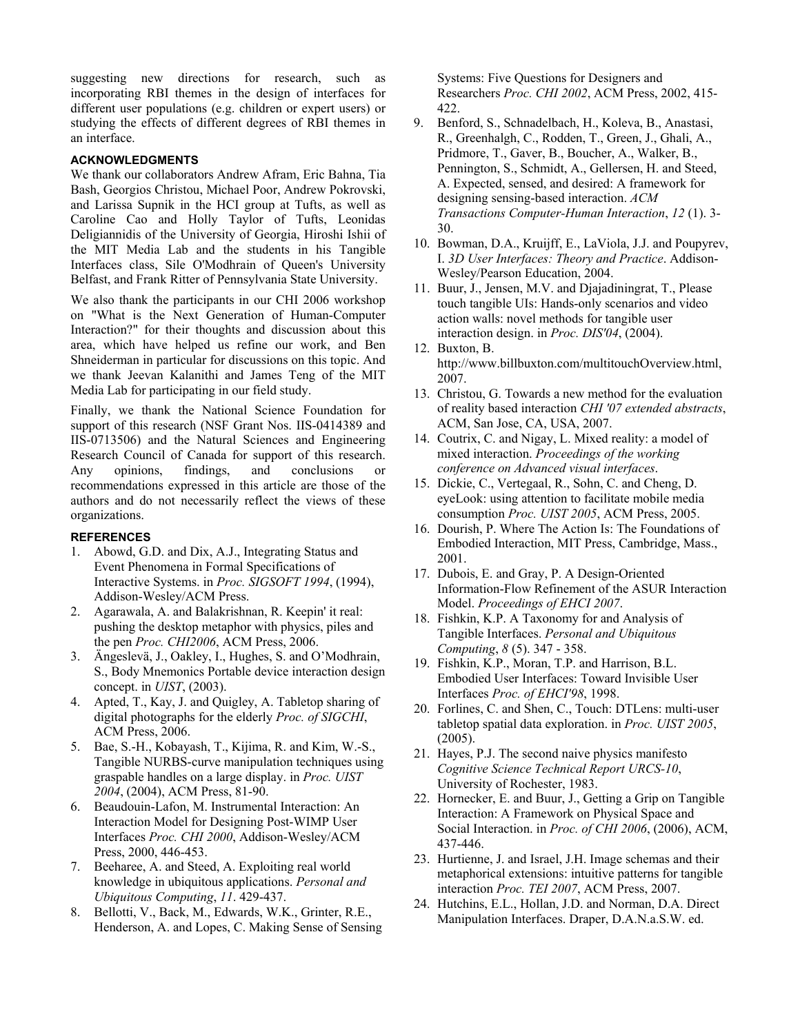suggesting new directions for research, such as incorporating RBI themes in the design of interfaces for different user populations (e.g. children or expert users) or studying the effects of different degrees of RBI themes in an interface.

# **ACKNOWLEDGMENTS**

We thank our collaborators Andrew Afram, Eric Bahna, Tia Bash, Georgios Christou, Michael Poor, Andrew Pokrovski, and Larissa Supnik in the HCI group at Tufts, as well as Caroline Cao and Holly Taylor of Tufts, Leonidas Deligiannidis of the University of Georgia, Hiroshi Ishii of the MIT Media Lab and the students in his Tangible Interfaces class, Sile O'Modhrain of Queen's University Belfast, and Frank Ritter of Pennsylvania State University.

We also thank the participants in our CHI 2006 workshop on "What is the Next Generation of Human-Computer Interaction?" for their thoughts and discussion about this area, which have helped us refine our work, and Ben Shneiderman in particular for discussions on this topic. And we thank Jeevan Kalanithi and James Teng of the MIT Media Lab for participating in our field study.

Finally, we thank the National Science Foundation for support of this research (NSF Grant Nos. IIS-0414389 and IIS-0713506) and the Natural Sciences and Engineering Research Council of Canada for support of this research. Any opinions, findings, and conclusions or recommendations expressed in this article are those of the authors and do not necessarily reflect the views of these organizations.

# **REFERENCES**

- 1. Abowd, G.D. and Dix, A.J., Integrating Status and Event Phenomena in Formal Specifications of Interactive Systems. in *Proc. SIGSOFT 1994*, (1994), Addison-Wesley/ACM Press.
- 2. Agarawala, A. and Balakrishnan, R. Keepin' it real: pushing the desktop metaphor with physics, piles and the pen *Proc. CHI2006*, ACM Press, 2006.
- 3. Ängeslevä, J., Oakley, I., Hughes, S. and O'Modhrain, S., Body Mnemonics Portable device interaction design concept. in *UIST*, (2003).
- 4. Apted, T., Kay, J. and Quigley, A. Tabletop sharing of digital photographs for the elderly *Proc. of SIGCHI*, ACM Press, 2006.
- 5. Bae, S.-H., Kobayash, T., Kijima, R. and Kim, W.-S., Tangible NURBS-curve manipulation techniques using graspable handles on a large display. in *Proc. UIST 2004*, (2004), ACM Press, 81-90.
- 6. Beaudouin-Lafon, M. Instrumental Interaction: An Interaction Model for Designing Post-WIMP User Interfaces *Proc. CHI 2000*, Addison-Wesley/ACM Press, 2000, 446-453.
- 7. Beeharee, A. and Steed, A. Exploiting real world knowledge in ubiquitous applications. *Personal and Ubiquitous Computing*, *11*. 429-437.
- 8. Bellotti, V., Back, M., Edwards, W.K., Grinter, R.E., Henderson, A. and Lopes, C. Making Sense of Sensing

Systems: Five Questions for Designers and Researchers *Proc. CHI 2002*, ACM Press, 2002, 415- 422.

- 9. Benford, S., Schnadelbach, H., Koleva, B., Anastasi, R., Greenhalgh, C., Rodden, T., Green, J., Ghali, A., Pridmore, T., Gaver, B., Boucher, A., Walker, B., Pennington, S., Schmidt, A., Gellersen, H. and Steed, A. Expected, sensed, and desired: A framework for designing sensing-based interaction. *ACM Transactions Computer-Human Interaction*, *12* (1). 3- 30.
- 10. Bowman, D.A., Kruijff, E., LaViola, J.J. and Poupyrev, I. *3D User Interfaces: Theory and Practice*. Addison-Wesley/Pearson Education, 2004.
- 11. Buur, J., Jensen, M.V. and Djajadiningrat, T., Please touch tangible UIs: Hands-only scenarios and video action walls: novel methods for tangible user interaction design. in *Proc. DIS'04*, (2004).
- 12. Buxton, B. http://www.billbuxton.com/multitouchOverview.html, 2007.
- 13. Christou, G. Towards a new method for the evaluation of reality based interaction *CHI '07 extended abstracts*, ACM, San Jose, CA, USA, 2007.
- 14. Coutrix, C. and Nigay, L. Mixed reality: a model of mixed interaction. *Proceedings of the working conference on Advanced visual interfaces*.
- 15. Dickie, C., Vertegaal, R., Sohn, C. and Cheng, D. eyeLook: using attention to facilitate mobile media consumption *Proc. UIST 2005*, ACM Press, 2005.
- 16. Dourish, P. Where The Action Is: The Foundations of Embodied Interaction, MIT Press, Cambridge, Mass., 2001.
- 17. Dubois, E. and Gray, P. A Design-Oriented Information-Flow Refinement of the ASUR Interaction Model. *Proceedings of EHCI 2007*.
- 18. Fishkin, K.P. A Taxonomy for and Analysis of Tangible Interfaces. *Personal and Ubiquitous Computing*, *8* (5). 347 - 358.
- 19. Fishkin, K.P., Moran, T.P. and Harrison, B.L. Embodied User Interfaces: Toward Invisible User Interfaces *Proc. of EHCI'98*, 1998.
- 20. Forlines, C. and Shen, C., Touch: DTLens: multi-user tabletop spatial data exploration. in *Proc. UIST 2005*, (2005).
- 21. Hayes, P.J. The second naive physics manifesto *Cognitive Science Technical Report URCS-10*, University of Rochester, 1983.
- 22. Hornecker, E. and Buur, J., Getting a Grip on Tangible Interaction: A Framework on Physical Space and Social Interaction. in *Proc. of CHI 2006*, (2006), ACM, 437-446.
- 23. Hurtienne, J. and Israel, J.H. Image schemas and their metaphorical extensions: intuitive patterns for tangible interaction *Proc. TEI 2007*, ACM Press, 2007.
- 24. Hutchins, E.L., Hollan, J.D. and Norman, D.A. Direct Manipulation Interfaces. Draper, D.A.N.a.S.W. ed.